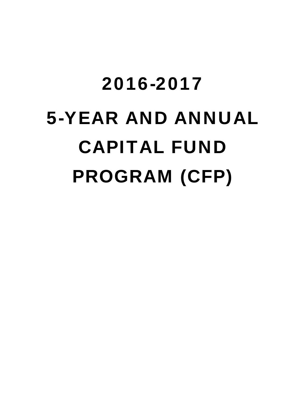# 2016-2017 5-YEAR AND ANNUAL CAPITAL FUND PROGRAM (CFP)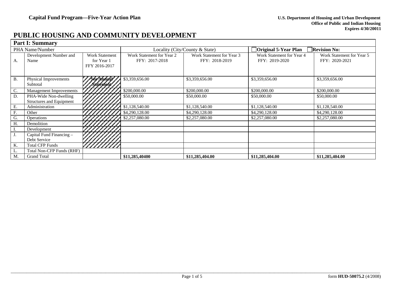## **PUBLIC HOUSING AND COMMUNITY DEVELOPMENT**

|           | <b>Part I: Summary</b>                            |                                                      |                                                                                            |                                |                                             |                                             |  |  |
|-----------|---------------------------------------------------|------------------------------------------------------|--------------------------------------------------------------------------------------------|--------------------------------|---------------------------------------------|---------------------------------------------|--|--|
|           | PHA Name/Number                                   |                                                      |                                                                                            | Locality (City/County & State) | Original 5-Year Plan                        | <b>Revision No:</b>                         |  |  |
| А.        | Development Number and<br>Name                    | <b>Work Statement</b><br>for Year 1<br>FFY 2016-2017 | Work Statement for Year 2<br>Work Statement for Year 3<br>FFY: 2017-2018<br>FFY: 2018-2019 |                                | Work Statement for Year 4<br>FFY: 2019-2020 | Work Statement for Year 5<br>FFY: 2020-2021 |  |  |
| <b>B.</b> | Physical Improvements<br>Subtotal                 | See Munici<br>/Státement                             | \$3,359,656.00                                                                             | \$3,359,656.00                 | \$3,359,656.00                              | \$3,359,656.00                              |  |  |
| C.        | Management Improvements                           |                                                      | \$200,000.00                                                                               | \$200,000.00                   | \$200,000.00                                | \$200,000.00                                |  |  |
| D.        | PHA-Wide Non-dwelling<br>Structures and Equipment |                                                      | \$50,000.00                                                                                | \$50,000.00                    | \$50,000.00                                 | \$50,000.00                                 |  |  |
| Е.        | Administration                                    |                                                      | \$1,128,540.00                                                                             | \$1,128,540.00                 | \$1,128,540.00                              | \$1,128,540.00                              |  |  |
| F.        | Other                                             |                                                      | \$4,290,128.00                                                                             | \$4,290,128.00                 | \$4,290,128.00                              | \$4,290,128.00                              |  |  |
| G.        | Operations                                        |                                                      | \$2,257,080.00                                                                             | \$2,257,080.00                 | \$2,257,080.00                              | \$2,257,080.00                              |  |  |
| Н.        | Demolition                                        |                                                      |                                                                                            |                                |                                             |                                             |  |  |
|           | Development                                       |                                                      |                                                                                            |                                |                                             |                                             |  |  |
|           | Capital Fund Financing -<br>Debt Service          |                                                      |                                                                                            |                                |                                             |                                             |  |  |
| K.        | <b>Total CFP Funds</b>                            |                                                      |                                                                                            |                                |                                             |                                             |  |  |
| L.        | <b>Total Non-CFP Funds (RHF)</b>                  |                                                      |                                                                                            |                                |                                             |                                             |  |  |
| M.        | <b>Grand Total</b>                                |                                                      | \$11,285,40400                                                                             | \$11,285,404.00                | \$11,285,404.00                             | \$11,285,404.00                             |  |  |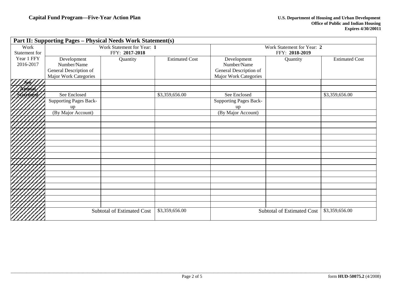|               | Part II: Supporting Pages - Physical Needs Work Statement(s) |                                   |                       |                               |                                   |                       |
|---------------|--------------------------------------------------------------|-----------------------------------|-----------------------|-------------------------------|-----------------------------------|-----------------------|
| Work          |                                                              | Work Statement for Year: 1        |                       |                               | Work Statement for Year: 2        |                       |
| Statement for |                                                              | FFY: 2017-2018                    |                       |                               | FFY: 2018-2019                    |                       |
| Year 1 FFY    | Development                                                  | Quantity                          | <b>Estimated Cost</b> | Development                   | Quantity                          | <b>Estimated Cost</b> |
| 2016-2017     | Number/Name                                                  |                                   |                       | Number/Name                   |                                   |                       |
|               | General Description of                                       |                                   |                       | General Description of        |                                   |                       |
|               | Major Work Categories                                        |                                   |                       | Major Work Categories         |                                   |                       |
|               |                                                              |                                   |                       |                               |                                   |                       |
|               |                                                              |                                   |                       |                               |                                   |                       |
|               | See Enclosed                                                 |                                   | \$3,359,656.00        | See Enclosed                  |                                   | \$3,359,656.00        |
|               | <b>Supporting Pages Back-</b>                                |                                   |                       | <b>Supporting Pages Back-</b> |                                   |                       |
|               | up                                                           |                                   |                       | up                            |                                   |                       |
|               | (By Major Account)                                           |                                   |                       | (By Major Account)            |                                   |                       |
|               |                                                              |                                   |                       |                               |                                   |                       |
|               |                                                              |                                   |                       |                               |                                   |                       |
|               |                                                              |                                   |                       |                               |                                   |                       |
|               |                                                              |                                   |                       |                               |                                   |                       |
|               |                                                              |                                   |                       |                               |                                   |                       |
|               |                                                              |                                   |                       |                               |                                   |                       |
|               |                                                              |                                   |                       |                               |                                   |                       |
|               |                                                              |                                   |                       |                               |                                   |                       |
|               |                                                              |                                   |                       |                               |                                   |                       |
|               |                                                              |                                   |                       |                               |                                   |                       |
|               |                                                              |                                   |                       |                               |                                   |                       |
|               |                                                              |                                   |                       |                               |                                   |                       |
|               |                                                              |                                   |                       |                               |                                   |                       |
|               |                                                              |                                   |                       |                               |                                   |                       |
|               |                                                              |                                   |                       |                               |                                   |                       |
|               |                                                              | <b>Subtotal of Estimated Cost</b> | \$3,359,656.00        |                               | <b>Subtotal of Estimated Cost</b> | \$3,359,656.00        |
|               |                                                              |                                   |                       |                               |                                   |                       |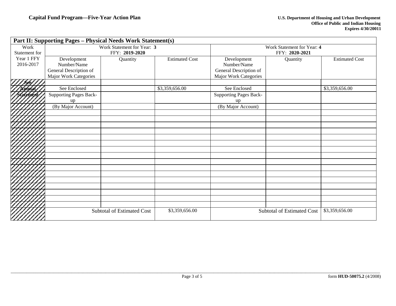|               | Part II: Supporting Pages - Physical Needs Work Statement(s) |                                   |                       |                        |                                   |                       |
|---------------|--------------------------------------------------------------|-----------------------------------|-----------------------|------------------------|-----------------------------------|-----------------------|
| Work          |                                                              | Work Statement for Year: 3        |                       |                        | Work Statement for Year: 4        |                       |
| Statement for |                                                              | FFY: 2019-2020                    |                       |                        | FFY: 2020-2021                    |                       |
| Year 1 FFY    | Development                                                  | Quantity                          | <b>Estimated Cost</b> | Development            | Quantity                          | <b>Estimated Cost</b> |
| 2016-2017     | Number/Name                                                  |                                   |                       | Number/Name            |                                   |                       |
|               | General Description of                                       |                                   |                       | General Description of |                                   |                       |
|               | Major Work Categories                                        |                                   |                       | Major Work Categories  |                                   |                       |
|               |                                                              |                                   |                       |                        |                                   |                       |
|               | See Enclosed                                                 |                                   | \$3,359,656.00        | See Enclosed           |                                   | \$3,359,656.00        |
|               | <b>Supporting Pages Back-</b>                                |                                   |                       | Supporting Pages Back- |                                   |                       |
|               | up                                                           |                                   |                       | up                     |                                   |                       |
|               | (By Major Account)                                           |                                   |                       | (By Major Account)     |                                   |                       |
|               |                                                              |                                   |                       |                        |                                   |                       |
|               |                                                              |                                   |                       |                        |                                   |                       |
|               |                                                              |                                   |                       |                        |                                   |                       |
|               |                                                              |                                   |                       |                        |                                   |                       |
|               |                                                              |                                   |                       |                        |                                   |                       |
|               |                                                              |                                   |                       |                        |                                   |                       |
|               |                                                              |                                   |                       |                        |                                   |                       |
|               |                                                              |                                   |                       |                        |                                   |                       |
|               |                                                              |                                   |                       |                        |                                   |                       |
|               |                                                              |                                   |                       |                        |                                   |                       |
|               |                                                              |                                   |                       |                        |                                   |                       |
|               |                                                              |                                   |                       |                        |                                   |                       |
|               |                                                              |                                   |                       |                        |                                   |                       |
|               |                                                              |                                   |                       |                        |                                   |                       |
|               |                                                              |                                   |                       |                        |                                   |                       |
|               |                                                              |                                   |                       |                        |                                   |                       |
|               |                                                              | <b>Subtotal of Estimated Cost</b> | \$3,359,656.00        |                        | <b>Subtotal of Estimated Cost</b> | \$3,359,656.00        |
|               |                                                              |                                   |                       |                        |                                   |                       |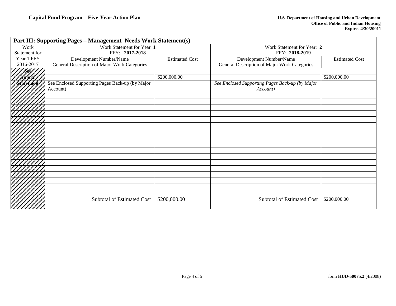|               | <b>Part III: Supporting Pages - Management Needs Work Statement(s)</b> |                       |                                                 |                       |
|---------------|------------------------------------------------------------------------|-----------------------|-------------------------------------------------|-----------------------|
| Work          | Work Statement for Year 1                                              |                       | Work Statement for Year: 2                      |                       |
| Statement for | FFY: 2017-2018                                                         |                       | FFY: 2018-2019                                  |                       |
| Year 1 FFY    | Development Number/Name                                                | <b>Estimated Cost</b> | Development Number/Name                         | <b>Estimated Cost</b> |
| 2016-2017     | General Description of Major Work Categories                           |                       | General Description of Major Work Categories    |                       |
|               |                                                                        |                       |                                                 |                       |
| nbaal         |                                                                        | \$200,000.00          |                                                 | \$200,000.00          |
| Statefrickt   | See Enclosed Supporting Pages Back-up (by Major                        |                       | See Enclosed Supporting Pages Back-up (by Major |                       |
|               | Account)                                                               |                       | Account)                                        |                       |
| Z             |                                                                        |                       |                                                 |                       |
| ク             |                                                                        |                       |                                                 |                       |
|               |                                                                        |                       |                                                 |                       |
|               |                                                                        |                       |                                                 |                       |
| 1.            |                                                                        |                       |                                                 |                       |
|               |                                                                        |                       |                                                 |                       |
| r,            |                                                                        |                       |                                                 |                       |
| Z             |                                                                        |                       |                                                 |                       |
|               |                                                                        |                       |                                                 |                       |
| ╱             |                                                                        |                       |                                                 |                       |
| 7.            |                                                                        |                       |                                                 |                       |
| z,            |                                                                        |                       |                                                 |                       |
|               |                                                                        |                       |                                                 |                       |
| 7             |                                                                        |                       |                                                 |                       |
| ╭             |                                                                        |                       |                                                 |                       |
|               |                                                                        |                       |                                                 |                       |
| Z,            |                                                                        |                       |                                                 |                       |
| Z             | <b>Subtotal of Estimated Cost</b>                                      | \$200,000.00          | Subtotal of Estimated Cost                      | \$200,000.00          |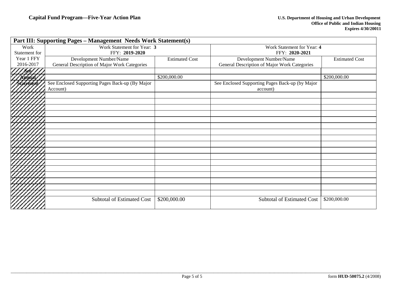|               | <b>Part III: Supporting Pages - Management Needs Work Statement(s)</b> |                       |                                                 |                       |
|---------------|------------------------------------------------------------------------|-----------------------|-------------------------------------------------|-----------------------|
| Work          | Work Statement for Year: 3                                             |                       | Work Statement for Year: 4                      |                       |
| Statement for | FFY: 2019-2020                                                         |                       | FFY: 2020-2021                                  |                       |
| Year 1 FFY    | Development Number/Name                                                | <b>Estimated Cost</b> | Development Number/Name                         | <b>Estimated Cost</b> |
| 2016-2017     | General Description of Major Work Categories                           |                       | General Description of Major Work Categories    |                       |
|               |                                                                        |                       |                                                 |                       |
| nhaal         |                                                                        | \$200,000.00          |                                                 | \$200,000.00          |
| / Statefrickt | See Enclosed Supporting Pages Back-up (By Major                        |                       | See Enclosed Supporting Pages Back-up (by Major |                       |
|               | Account)                                                               |                       | account)                                        |                       |
| Z             |                                                                        |                       |                                                 |                       |
| 7             |                                                                        |                       |                                                 |                       |
|               |                                                                        |                       |                                                 |                       |
| ╭             |                                                                        |                       |                                                 |                       |
| z,            |                                                                        |                       |                                                 |                       |
|               |                                                                        |                       |                                                 |                       |
| 17            |                                                                        |                       |                                                 |                       |
| Z             |                                                                        |                       |                                                 |                       |
|               |                                                                        |                       |                                                 |                       |
| 1             |                                                                        |                       |                                                 |                       |
| 7             |                                                                        |                       |                                                 |                       |
|               |                                                                        |                       |                                                 |                       |
| ╭             |                                                                        |                       |                                                 |                       |
|               |                                                                        |                       |                                                 |                       |
|               |                                                                        |                       |                                                 |                       |
|               |                                                                        |                       |                                                 |                       |
| r,            |                                                                        |                       |                                                 |                       |
|               | Subtotal of Estimated Cost                                             | \$200,000.00          | <b>Subtotal of Estimated Cost</b>               | \$200,000.00          |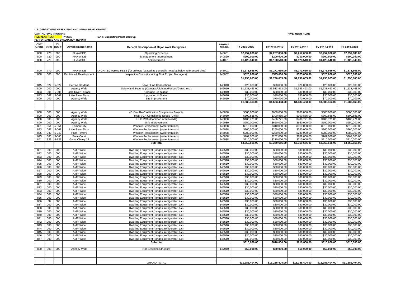#### **U.S. DEPARTMENT OF HOUSING AND URBAN DEVELOPMENT**

**CAPITAL FUND PROGRAM** 

FY 2015 **FIVE YEAR PLAN Part II: Supporting Pages Back Up**

 **PERFORMANCE AND EVALUATION REPORTAMP Group CCS FL HUD # Development Name General Description of Major Work Categories PROJECT ACC. NO. FY 2015-2016 FY 2016-2017 FY 2017-2018 FY 2018-2019 FY 2019-2020**800 720 000 PHA-WIDE Operating Expense 140601 **\$2,257,080.00 \$2,257,080.00 \$2,257,080.00 \$2,257,080.00 \$2,257,080.00** 800 720 000 PHA-WIDE Management Improvement 140820 **\$200,000.00 \$200,000.00 \$200,000.00 \$200,000.00 \$200,000.00** 800 720 000 PHA-WIDE 2000 PHA-WIDE 2000 PHA-WIDE 2000 PHA-WIDE 2010 141001 **\$1,128,540.00 \$1,128,540.00 \$1,128,540.00 \$1,128,540.00 \$1,128,540.00** 800 770 000 PHA-WIDE ARCHITECTURAL FEES (for projects located as generally noted at below referenced sites) 143001 \$1.271.665.00 \$1.271.665.00 \$1.271.665.00 \$1.271.665.00 \$1.271.665.00 \$1.271.665.00 800 000 000 Facilities & Development Inspection Costs (including PHA Project Managers) 143007 **\$525,000.00 \$525,000.00 \$525,000.00 \$525,000.00 \$525,000.00 \$1,796,665.00 \$1,796,665.00 \$1,796,665.00 \$1,796,665.00 \$1,796,665.00** 845 022 5-022 Perrine Gardens Sewer Line Connections 145010 \$20,000.00 \$20,000.00 \$20,000.00 \$20,000.00 \$20,000.00 800 000 000 Agency Wide Safety and Security (Cameras/Lighting/Fences/Gates, etc.) 145010 \$1,533,463.00 \$1,533,463.00 \$1,533,463.00 \$1,533,463.00 \$1,533,463.00 \$1,533,463.00 \$1,533,463.00 \$1,533,463.00 \$1,533,463.00 \$1,533, 823 | 006 | 5-006 | Little River Terrace | Upgrade Lift Station | 145010 | \$30,000.00 | \$30,000.00 \$30,000.00 \$30,000.00 \$30,000.00 \$30,000.00 \$30,000.00 \$30,000.00 \$30,000.00 \$30,000.00 \$ 823 | 067 |5-067 | Little River Plaza | Upgrade Lift Station | 145010 | \$30,000.00 | \$30,000.00 \$30,000.00 \$30,000.00 \$30,000.00 \$30,000.00 \$30,000.00 \$30,000.00 \$30,000.00 \$30,0 800 000 000 000 000 Agency-Wide Site Improvement 145010 \$70,000.00 \$70,000.00 \$70,000.00 \$70,000.00 \$70,000.00 **\$1,683,463.00 \$1,683,463.00 \$1,683,463.00 \$1,683,463.00 \$1,683,463.00** 800 000 000 Agency Wide 40 Year Re-Certification Compliance Projects 146030 \$600,000.00 \$600,000.00 \$600,000.00 \$600,000.00 \$600,000.00 800 000 000 Agency Wide HUD VCA Compliance Needs (Units) 146030 \$300,885.00 \$300,885.00 \$300,885.00 \$300,885.00 \$300,885.00 800 000 000 Agency Wide HUD VCA (Common Area Needs) 146030 \$486,771.00 \$486,771.00 \$486,771.00 \$486,771.00 \$486,771.00 \$486,771.00 \$486,771.00 \$486,771.00 \$486,771.00 \$486,771.00 \$486,771.00 \$486,771.00 \$486,771.00 \$486,77 800 | 800 | 000 | Agency Wide | Unit Improvements | 146030 | \$650,000.00 | \$650,000.00 \$650,000.00 \$650,000.00 \$650,000.00 \$650,000.00 \$650 821 | 051 | 5-051 | Lemon City | Window Replacement (water intrusion) | 146038 | \$310,000.00 \$310,000.00 \$310,000.00 \$310,000.00 \$310,000.00 \$310,000.00 \$310,000.00 \$310,000.00 \$310,000.00 \$310,000.00 \$310,000.00 \$310,000. 823 067 5-067 Little River Plaza Nundow Replacement (water intrusion) 146038 \$260,000.00 \$260,000.00 \$260,000.00 \$260,000.00 \$260,000.00 \$260,000.00 \$260,000.00 \$260,000.00 \$260,000.00 \$260,000.00 \$260,000.00 \$260,000.00 \$ 825 043 5-043 Palm Towers Nindow Replacement (water intrusion) 146038 \$280,000.00 \$280,000.00 \$280,000.00 \$280,000.00 \$280,000.00 \$280,000.00 \$280,000.00 \$280,000.00 \$280,000.00 \$280,000.00 \$280,000.00 \$282,000.00 \$262,000 825 065 5-065 Palm Court | Window Replacement (water intrusion) | 146038 \$262,000.00 \$262,000.00 \$262,000.00 \$262,000.00 \$262,000.00 \$262,000.00 \$262,000.00 \$262,000.00 \$262,000.00 \$210,000.00 \$210,000.00 \$210,000.00 \$210, 841 833 5-833 Gwen Cherry 14 Window Replacement (water intrusion) 146038 \$210,000.00 \$210,000.00 \$210,000.00 \$210,000.00 \$210,000.00 \$210,000.00 \$210,000.00 \$210,000.00 \$210,000.00 \$210,000.00 \$210,000.00 \$210,000.00 \$210, **Sub-total \$3,359,656.00 \$3,359,656.00 \$3,359,656.00 \$3,359,656.00 \$3,359,656.00**  $\text{821} \quad 000 \quad 000 \quad \text{AMP-Wide} \quad \text{Dwelling Equipment (ranges, refrigerator, a/c)} \quad 146510 \quad 30,000.00 \quad 30,000.00 \quad 300,000.00 \quad 300,000.00 \quad 300,000.00 \quad 300,000.00 \quad 300,000.00 \quad 300,000.00 \quad 300,000.00 \quad 300,000.00 \quad 300,000.00 \quad 300,000.00 \quad 300,000.0$ 822 000 000 AMP-Wide Dwelling Equipment (ranges, refrigerator, a/c) 146510 \$30,000.00 \$30,000.00 \$30,000.00 \$30,000.00 \$30,000.00 \$30,000.00 \$30,000.00 \$30,000.00 \$30,000.00 \$30,000.00 \$30,000.00 \$30,000.00 \$30,000.00 \$3 823 000 000 AMP-Wide Dwelling Equipment (ranges, refrigerator, a/c) 146510 \$30,000.00 \$30,000.00 \$30,000.00 \$30,000.00 \$30,000.00 \$30,000.00 \$30,000.00 \$30,000.00 \$30,000.00 \$30,000.00 \$30,000.00 \$30,000.00 \$30,000.00 \$30 824 AMP-Wide Dwelling Equipment (ranges, refrigerator, a/c) 146510  $\mu$  Dwelling Equipment (ranges refrigerator, a/c) 825 000 000 AMP-Wide Dwelling Equipment (ranges, refrigerator, a/c) 146510 \$30,000.00 \$30,000.00 \$30,000.00 \$30,000.00 \$30,000.00 \$30,000.00 \$30,000.00 \$30,000.00 \$30,000.00 \$30,000.00 \$30,000.00 \$30,000.00 \$30,000.00 \$3 826 000 000 AMP-Wide Dwelling Equipment (ranges, refrigerator, a/c) 146510 \$30,000.00 \$30,000.00 \$30,000.00 \$30,000.00 \$30,000.00 \$30,000.00 \$30,000.00 \$30,000.00 \$30,000.00 \$30,000.00 \$30,000.00 \$30,000.00 \$30,000.00 \$3 Bwelling Equipment (ranges, refrigerator, a/c) 828 000 000 AMP-Wide Duelling Equipment (ranges, refrigerator, a/c) 146510 \$30,000.00 \$30,000.00 \$30,000.00 \$30,000.00 \$30,000.00 \$30,000.00 \$30,000.00 \$30,000.00 \$30,000.00 \$30,000.00 \$30,000.00 \$30,000.00 \$30,000.00 \$30 829 000 000 AMP-Wide Dwelling Equipment (ranges, refrigerator, a/c) 146510 \$30,000.00 \$30,000.00 \$30,000.00 \$30,000.00 \$30,000.00 830 000 000 AMP-Wide Dwelling Equipment (ranges, refrigerator, a/c) 146510 \$30,000.00 \$30,000.00 \$30,000.00 \$30,000.00 \$30,000.00 831 000 000 AMP-Wide Dwelling Equipment (ranges, refrigerator, a/c) 146510 \$30,000.00 \$30,000.00 \$30,000.00 \$30,000.00 \$30,000.00  $\text{832} \quad \text{000} \quad \text{000} \quad \text{AMP-Wide} \quad \text{200,000.00} \quad \text{530,000.00} \quad \text{530,000.00} \quad \text{530,000.00} \quad \text{530,000.00} \quad \text{530,000.00} \quad \text{530,000.00} \quad \text{530,000.00} \quad \text{530,000.00} \quad \text{530,000.00} \quad \text{530,000.00} \quad \text{530,0$ 833 000 000 AMP-Wide Dwelling Equipment (ranges, refrigerator, a/c) 1466. 000.000 \$30,000.000 \$30,000.00 \$30,000.00 \$30,000.00 \$30,000.00 \$30,000.00 \$30,000.00 \$30,000.00 \$30,000.00 \$30,000.00 \$30,000.00 \$30,000.00 \$30,000 834 000 000 AMP-Wide Dwelling Equipment (ranges, refrigerator, a/c) 146510 \$30,000.00 \$30,000.00 \$30,000.00 \$30,000.00 \$30,000.00 \$30,000.00 \$30,000.00 \$30,000.00 \$30,000.00 \$30,000.00 \$30,000.00 \$30,000.00 \$30,000.00 \$30 835 000 000 AMP-Wide Dwelling Equipment (ranges, refrigerator, a/c) 836 00 000 AMP-Wide Dwelling Equipment (ranges, refrigerator, a/c) 146510 \$30,000.00 \$30,000.00 \$30,000.00 \$30,000.00 \$30,000.00 \$30,000.00 \$30,000.00 \$30,000.00 \$30,000.00 \$30,000.00 \$30,000.00 \$30,000.00 \$30,000.00 \$30, 837 000 000 AMP-Wide Dwelling Equipment (ranges, refrigerator, a/c) 146510 \$30,000.00 \$30,000.00 \$30,000.00 \$30,000.00 \$30,000.00 \$30,000.00 \$30,000.00 \$30,000.00 \$30,000.00 \$30,000.00 \$30,000.00 \$30,000.00 \$30,000.00 \$30 838 000 000 AMP-Wide Dwelling Equipment (ranges, refrigerator, a/c) 146510 \$30,000.00 \$30,000.00 \$30,000.00 \$30,000.00 \$30,000.00 839 000 000 AMP-Wide Dwelling Equipment (ranges, refrigerator, a/c) 146510 \$30,000.00 \$30,000.00 \$30,000.00 \$30,000.00 \$30,000.00 \$30,000.00 \$30,000.00 \$30,000.00 \$30,000.00 \$30,000.00 \$30,000.00 \$30,000.00 \$10,000.00 \$30, 840 000 000 AMP-Wide Dwelling Equipment (ranges, refrigerator, a/c) 146510 \$30,000.00 \$30,000.00 \$30,000.00 \$30,000.00 \$30,000.00 \$30,000.00 \$30,000.00 \$30,000.00 \$30,000.00 \$30,000.00 \$30,000.00 \$30,000.00 \$30,000.00 \$3 8MP-Wide Dwelling Equipment (ranges, refrigerator, a/c) 146510 AMP-Wide Dwelling Equipment (ranges, refrigerator, a/c) 842 000 000 AMP-Wide Dwelling Equipment (ranges, refrigerator, a/c) 146510 \$30,000.00 \$30,000.00 \$30,000.00 \$30,000.00 \$30,000.00 \$30,000.00 \$30,000.00 \$30,000.00 \$30,000.00 \$30,000.00 \$30,000.00 \$30,000.00 \$30,000.00 \$3  $\text{843} \quad \text{000} \quad \text{000} \quad \text{AMP-Wide} \quad \text{Dwelling Equipment (ranges, refrigerator, a/c)} \quad \text{844} \quad \text{000} \quad \text{830,000.00} \quad \text{830,000.00} \quad \text{830,000.00} \quad \text{830,000.00} \quad \text{830,000.00} \quad \text{830,000.00} \quad \text{830,000.00} \quad \text{830,000.00} \quad \text{830,000.00} \quad \text{83$ 844 000 000 AMP-Wide Dwelling Equipment (ranges, refrigerator, a/c) 146510 \$30,000.00 \$30,000.00 \$30,000.00 \$30,000.00 \$30,000.00 \$30,000.00 \$30,000.00 \$30,000.00 \$30,000.00 \$30,000.00 \$30,000.00 \$30,000.00 \$30,000.00 \$3 845 000 000 AMP-Wide Dwelling Equipment (ranges, refrigerator, a/c) 146510 \$30,000.00 \$30,000.00 \$30,000.00 \$30,000.00 \$30,000.00 830,000.00 000 AMP-Wide 2000 Dwelling Equipment (ranges, refrigerator, a/c) 196510 1970.00000 1000000 1000000 530,000.00 530,000.00 530,000.00 530,000.00 \$30,000.00 \$30,000.00 \$30,000.00 \$30,000.00 \$30,000.00 \$30,000.00 \$3  $847 \pm 000 \pm 000$   $\pm 0.000 \pm 0.000$   $\pm 0.30,000 \pm 0.000$   $\pm 0.30,000 \pm 0.000$ **Sub-total \$810,000.00 \$810,000.00 \$810,000.00 \$810,000.00 \$810,000.00** 800 000 000 Agency-Wide Non-Dwelling Structure 147010 **\$50,000.00 \$50,000.00 \$50,000.00 \$50,000.00 \$50,000.00** GRAND TOTAL**\$11,285,404.00 \$11,285,404.00 \$11,285,404.00 \$11,285,404.00 \$11,285,404.00**

**FIVE YEAR PLAN**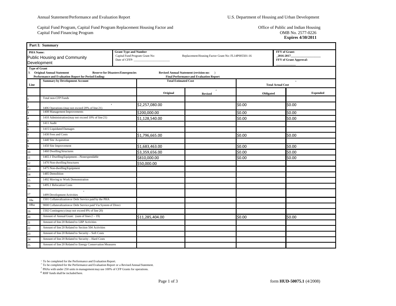Capital Fund Program, Capital Fund Program Replacement Housing Factor and Capital Fund Financing Program

Office of Public and Indian Housing OMB No. 2577-0226 **Expires 4/30/2011**

|                      | Part I: Summary                                                            |                                                                                 |                                                |                                                     |                          |                                                      |  |  |  |  |
|----------------------|----------------------------------------------------------------------------|---------------------------------------------------------------------------------|------------------------------------------------|-----------------------------------------------------|--------------------------|------------------------------------------------------|--|--|--|--|
| <b>PHA Name:</b>     | <b>Public Housing and Community</b><br>Development                         | <b>Grant Type and Number</b><br>Capital Fund Program Grant No:<br>Date of CFFP: |                                                | Replacement Housing Factor Grant No: FL14P005501-16 |                          | FFY of Grant:<br>2016-2017<br>FFY of Grant Approval: |  |  |  |  |
| <b>Type of Grant</b> | X Original Annual Statement                                                | <b>Reserve for Disasters/Emergencies</b>                                        | Revised Annual Statement (revision no: )       |                                                     |                          |                                                      |  |  |  |  |
|                      | Performance and Evaluation Report for Period Ending:                       |                                                                                 | <b>Final Performance and Evaluation Report</b> |                                                     |                          |                                                      |  |  |  |  |
| Line                 | <b>Summary by Development Account</b>                                      |                                                                                 | <b>Total Estimated Cost</b>                    |                                                     | <b>Total Actual Cost</b> | $\mathbf{1}$                                         |  |  |  |  |
|                      |                                                                            |                                                                                 | Original<br><b>Revised</b>                     | $\overline{2}$                                      | Obligated                | <b>Expended</b>                                      |  |  |  |  |
|                      | <b>Total non-CFP Funds</b>                                                 |                                                                                 |                                                |                                                     |                          |                                                      |  |  |  |  |
|                      | $\overline{\mathbf{3}}$<br>1406 Operations (may not exceed 20% of line 21) | \$2,257,080.00                                                                  |                                                | \$0.00                                              |                          | \$0.00                                               |  |  |  |  |
|                      | 1408 Management Improvements                                               | \$200,000.00                                                                    |                                                | \$0.00                                              |                          | \$0.00                                               |  |  |  |  |
|                      | 1410 Administration (may not exceed 10% of line 21)                        | \$1,128,540.00                                                                  |                                                | \$0.00                                              |                          | \$0.00                                               |  |  |  |  |
|                      | 1411 Audit                                                                 |                                                                                 |                                                |                                                     |                          |                                                      |  |  |  |  |
|                      | 1415 Liquidated Damages                                                    |                                                                                 |                                                |                                                     |                          |                                                      |  |  |  |  |
|                      | 1430 Fees and Costs                                                        | \$1,796,665.00                                                                  |                                                | \$0.00                                              |                          | \$0.00                                               |  |  |  |  |
|                      | 1440 Site Acquisition                                                      |                                                                                 |                                                |                                                     |                          |                                                      |  |  |  |  |
|                      | 1450 Site Improvement                                                      | \$1,683,463.00                                                                  |                                                | \$0.00                                              |                          | \$0.00                                               |  |  |  |  |
| 10                   | 1460 Dwelling Structures                                                   | \$3,359,656.00                                                                  |                                                | \$0.00                                              |                          | \$0.00                                               |  |  |  |  |
| 11                   | 1465.1 Dwelling Equipment-Nonexpendable                                    | \$810,000.00                                                                    |                                                | \$0.00                                              |                          | \$0.00                                               |  |  |  |  |
| 12                   | 1470 Non-dwelling Structures                                               | \$50,000.00                                                                     |                                                |                                                     |                          |                                                      |  |  |  |  |
| 13                   | 1475 Non-dwelling Equipment                                                |                                                                                 |                                                |                                                     |                          |                                                      |  |  |  |  |
| 14                   | 1485 Demolition                                                            |                                                                                 |                                                |                                                     |                          |                                                      |  |  |  |  |
| 15                   | 1492 Moving to Work Demonstration                                          |                                                                                 |                                                |                                                     |                          |                                                      |  |  |  |  |
| 16                   | 1495.1 Relocation Costs                                                    |                                                                                 |                                                |                                                     |                          |                                                      |  |  |  |  |
| 17                   | $4 -$<br>1499 Development Activities                                       |                                                                                 |                                                |                                                     |                          |                                                      |  |  |  |  |
| 18a                  | 1501 Collateralization or Debt Service paid by the PHA                     |                                                                                 |                                                |                                                     |                          |                                                      |  |  |  |  |
| 18ba                 | 9000 Collateralization or Debt Service paid Via System of Direct           |                                                                                 |                                                |                                                     |                          |                                                      |  |  |  |  |
| 19                   | 1502 Contingency (may not exceed 8% of line 20)                            |                                                                                 |                                                |                                                     |                          |                                                      |  |  |  |  |
| 20                   | Amount of Annual Grant: (sum of lines $2 - 19$ )                           | \$11,285,404.00                                                                 |                                                | \$0.00                                              |                          | \$0.00                                               |  |  |  |  |
| 21                   | Amount of line 20 Related to LBP Activities                                |                                                                                 |                                                |                                                     |                          |                                                      |  |  |  |  |
| 22                   | Amount of line 20 Related to Section 504 Activities                        |                                                                                 |                                                |                                                     |                          |                                                      |  |  |  |  |
| 23                   | Amount of line 20 Related to Security - Soft Costs                         |                                                                                 |                                                |                                                     |                          |                                                      |  |  |  |  |
| 24                   | Amount of line 20 Related to Security - Hard Costs                         |                                                                                 |                                                |                                                     |                          |                                                      |  |  |  |  |
| 25                   | Amount of line 20 Related to Energy Conservation Measures                  |                                                                                 |                                                |                                                     |                          |                                                      |  |  |  |  |

<sup>1</sup> To be completed for the Performance and Evaluation Report.<br><sup>2</sup> To be completed for the Performance and Evaluation Report or a Revised Annual Statement.

<sup>3</sup> PHAs with under 250 units in management may use 100% of CFP Grants for operations.

<sup>4</sup> RHF funds shall be included here.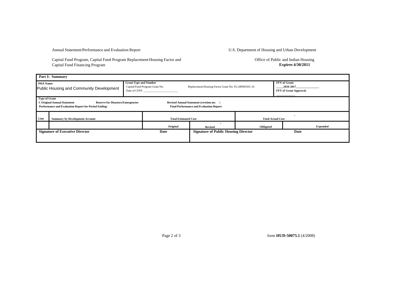Capital Fund Program, Capital Fund Program Replacement Housing Factor and Capital Fund Financing Program

Office of Public and Indian Housing **Expires 4/30/2011**

|                  | Part I: Summary                                                                                                                                                                                                                                            |                              |                                                 |                                                     |                          |                                                             |  |  |  |  |
|------------------|------------------------------------------------------------------------------------------------------------------------------------------------------------------------------------------------------------------------------------------------------------|------------------------------|-------------------------------------------------|-----------------------------------------------------|--------------------------|-------------------------------------------------------------|--|--|--|--|
| <b>PHA Name:</b> | Public Housing and Community Development                                                                                                                                                                                                                   | <b>Grant Type and Number</b> | Capital Fund Program Grant No:<br>Date of CFFP: | Replacement Housing Factor Grant No: FL14P005501-16 |                          | <b>FFY</b> of Grant:<br>2016-2017<br>FFY of Grant Approval: |  |  |  |  |
|                  | <b>Type of Grant</b><br>X Original Annual Statement<br><b>Reserve for Disasters/Emergencies</b><br><b>Revised Annual Statement (revision no:</b><br>Performance and Evaluation Report for Period Ending:<br><b>Final Performance and Evaluation Report</b> |                              |                                                 |                                                     |                          |                                                             |  |  |  |  |
| Line             | <b>Summary by Development Account</b>                                                                                                                                                                                                                      |                              | <b>Total Estimated Cost</b>                     |                                                     | <b>Total Actual Cost</b> |                                                             |  |  |  |  |
|                  |                                                                                                                                                                                                                                                            |                              | Original                                        | <b>Revised</b>                                      | Obligated                | <b>Expended</b>                                             |  |  |  |  |
|                  | <b>Signature of Executive Director</b>                                                                                                                                                                                                                     |                              | Date                                            | <b>Signature of Public Housing Director</b>         |                          | Date                                                        |  |  |  |  |

Page 2 of 3 form **HUD-50075.1** (4/2008)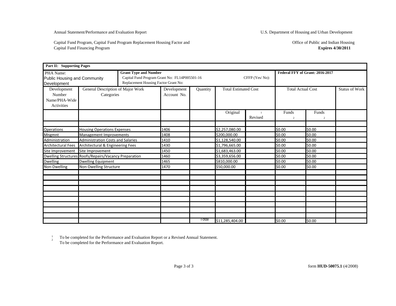Capital Fund Program, Capital Fund Program Replacement Housing Factor and Capital Fund Financing Program

Office of Public and Indian Housing **Expires 4/30/2011**

| Part II: Supporting Pages                            |                                                                                                      |  |                            |                                                                 |                             |         |                                 |                         |                       |
|------------------------------------------------------|------------------------------------------------------------------------------------------------------|--|----------------------------|-----------------------------------------------------------------|-----------------------------|---------|---------------------------------|-------------------------|-----------------------|
| PHA Name:<br>Development                             | <b>Grant Type and Number</b><br>Public Housing and Community<br>Replacement Housing Factor Grant No: |  |                            | Capital Fund Program Grant No: FL14P005501-16<br>CFFP (Yes/No): |                             |         | Federal FFY of Grant: 2016-2017 |                         |                       |
| Development<br>Number<br>Name/PHA-Wide<br>Activities | General Description of Major Work<br>Categories                                                      |  | Development<br>Account No. | Quantity                                                        | <b>Total Estimated Cost</b> |         | <b>Total Actual Cost</b>        |                         | <b>Status of Work</b> |
|                                                      |                                                                                                      |  |                            |                                                                 | Original                    | Revised | Funds<br>$\overline{2}$         | Funds<br>$\overline{2}$ |                       |
| <b>Operations</b>                                    | <b>Housing Operations Expenses</b>                                                                   |  | 1406                       |                                                                 | \$2,257,080.00              |         | 50.00                           | \$0.00                  |                       |
| <b>Mngmnt</b>                                        | Management Improvements                                                                              |  | 1408                       |                                                                 | \$200,000.00                |         | \$0.00                          | \$0.00                  |                       |
| Administration                                       | <b>Administration Costs and Salaries</b>                                                             |  | 1410                       |                                                                 | \$1,128,540.00              |         | \$0.00                          | \$0.00                  |                       |
| <b>Architectural Fees</b>                            | Architectural & Engineering Fees                                                                     |  | 1430                       |                                                                 | \$1,796,665.00              |         | \$0.00                          | \$0.00                  |                       |
| Site Improvement                                     | Site Improvement                                                                                     |  | 1450                       |                                                                 | \$1,683,463.00              |         | \$0.00                          | \$0.00                  |                       |
|                                                      | <b>Dwelling Structures Roofs/Repairs/Vacancy Preparation</b>                                         |  | 1460                       |                                                                 | \$3,359,656.00              |         | \$0.00                          | \$0.00                  |                       |
| <b>Dwelling</b>                                      | <b>Dwelling Equipment</b>                                                                            |  | 1465                       |                                                                 | \$810,000.00                |         | \$0.00                          | \$0.00                  |                       |
| Non-Dwelling                                         | Non-Dwelling Structure                                                                               |  | 1470                       |                                                                 | \$50,000.00                 |         | \$0.00                          | \$0.00                  |                       |
|                                                      |                                                                                                      |  |                            |                                                                 |                             |         |                                 |                         |                       |
|                                                      |                                                                                                      |  |                            |                                                                 |                             |         |                                 |                         |                       |
|                                                      |                                                                                                      |  |                            |                                                                 |                             |         |                                 |                         |                       |
|                                                      |                                                                                                      |  |                            |                                                                 |                             |         |                                 |                         |                       |
|                                                      |                                                                                                      |  |                            |                                                                 |                             |         |                                 |                         |                       |
|                                                      |                                                                                                      |  |                            |                                                                 |                             |         |                                 |                         |                       |
|                                                      |                                                                                                      |  |                            | I otal                                                          | \$11,285,404.00             |         | \$0.00                          | \$0.00                  |                       |

1<br>2 To be completed for the Performance and Evaluation Report or a Revised Annual Statement. To be completed for the Performance and Evaluation Report.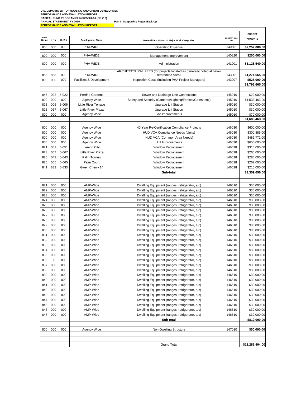**U.S. DEPARTMENT OF HOUSING AND URBAN DEVELOPMENT PERFORMANCE AND EVALUATION REPORT ANNUAL STATEMENT FY 2016 Part II: Supporting Pages Back Up PERFORMANCE AND EVALUATION REPORT CAPITAL FUND PROGRAM FL14P005501-16 (CF 716)**

**BUDGET AMP CCS HUD # Development Name Development Name General Description of Major Work Categories PROJECT ACC. NO. AMOUNTS** 800 000 **PHA-WIDE 140601 PHA-WIDE Depending Expense** 140601 **\$2,257,080.00** 800 000 000 PHA-WIDE Management Improvement 140820 **\$200,000.00** 800 000 000 PHA-WIDE Administration 141001 **\$1,128,540.00** 800 000 000 PHA-WIDE ARCHITECTURAL FEES (for projects located as generally noted at below referenced sites) 143001 **\$1,271,665.00** 800 000 000 Facilities & Development Inspection Costs (including PHA Project Managers) 143007 **\$525,000.00 \$1,796,665.00** 845 022 5-022 Perrine Gardens Sewer and Drainage Line Connections 145010 \$20,000.00 800 000 | 000 | Agency Wide | Safety and Security (Cameras/Lighting/Fences/Gates, etc.) | 145010 | \$1,533,463.00 823 006 5-006 Little River Terrace Upgrade Lift Station 145010 \$30,000.00 823 067 5-067 Little River Plaza I Upgrade Lift Station 145010 \$30,000.00 800 000 000 Agency Wide Site Improvements 145010 \$70,000.00 **\$1,683,463.00** 800 000 000 Agency Wide 40 Year Re-Certification Compliance Projects 146030 \$600,000.00 800 000 000 Agency Wide HUD VCA Compliance Needs (Units) 146030 \$300,885.00 800 000 000 Agency Wide HUD VCA (Common Area Needs) 146030 \$486,771.00 800 000 000 Agency Wide Unit Improvements 146030 \$650,000.00 821 051 5-051 Lemon City Lemon City City Control Communication City Control City Control City Control City Control City Control City Control City Control City Control City Control City Control City Control City Control Cit 823 067 5-067 Little River Plaza Window Replacement 146038 \$260,000.00 825 043 5-043 Palm Towers Nindow Replacement 146038 \$280,000.00 825 065 5-065 Palm Court Nindow Replacement 146038 \$262,000.00 841 833 5-833 Gwen Cherry 14 | Window Replacement | 146038 \$210,000.00 **Sub-total \$3,359,656.00** 821 000 000 AMP-Wide Dwelling Equipment (ranges, refrigerator, a/c) 146510 \$30,000.00 822 000 000 AMP-Wide Dwelling Equipment (ranges, refrigerator, a/c) 146510 \$30,000.00 823 000 AMP-Wide Dwelling Equipment (ranges, refrigerator, a/c) 146510 \$30,000.00 824 000 000 AMP-Wide Dwelling Equipment (ranges, refrigerator, a/c) 146510 \$30,000.00 825 000 000 AMP-Wide Dwelling Equipment (ranges, refrigerator, a/c) 146510 \$30,000.00 826 000 000 AMP-Wide Dwelling Equipment (ranges, refrigerator, a/c) 146510 \$30,000.00 827 000 000 AMP-Wide Dwelling Equipment (ranges, refrigerator, a/c) 146510 \$30,000.00 828 000 000 AMP-Wide Dwelling Equipment (ranges, refrigerator, a/c) 146510 \$30,000.00 829 000 000 AMP-Wide Dwelling Equipment (ranges, refrigerator, a/c) 146510 \$30,000.00 830 000 AMP-Wide Dwelling Equipment (ranges, refrigerator, a/c) 146510 \$30,000.00 831 000 000 AMP-Wide Dwelling Equipment (ranges, refrigerator, a/c) 146510 \$30,000.00 832 000 000 AMP-Wide Dwelling Equipment (ranges, refrigerator, a/c) 146510 \$30,000.00 833 000 000 AMP-Wide Dwelling Equipment (ranges, refrigerator, a/c) 146510 \$30,000.00 834 000 000 AMP-Wide Dwelling Equipment (ranges, refrigerator, a/c) 146510 \$30,000.00 835 000 | OOO | AMP-Wide | Dwelling Equipment (ranges, refrigerator, a/c) | 146510 \$30,000.00 836 00 000 AMP-Wide Dwelling Equipment (ranges, refrigerator, a/c) 146510 \$30,000.00 837 000 000 AMP-Wide Dwelling Equipment (ranges, refrigerator, a/c) 146510 \$30,000.00 838 000 000 AMP-Wide Dwelling Equipment (ranges, refrigerator, a/c) 146510 \$30,000.00 839 000 000 AMP-Wide Dwelling Equipment (ranges, refrigerator, a/c) 146510 \$30,000.00 840 000 AMP-Wide Number Dwelling Equipment (ranges, refrigerator, a/c) 146510 \$30,000.00 841 000 000 AMP-Wide Dwelling Equipment (ranges, refrigerator, a/c) 146510 \$30,000.00 842 000 000 AMP-Wide Dwelling Equipment (ranges, refrigerator, a/c) 146510 \$30,000.00 843 000 000 AMP-Wide Dwelling Equipment (ranges, refrigerator, a/c) 146510 \$30,000.00 844 000 000 AMP-Wide Dwelling Equipment (ranges, refrigerator, a/c) 146510 \$30,000.00 845 000 AMP-Wide Number 2000 AMP-Wide Dwelling Equipment (ranges, refrigerator, a/c) 146510 \$30,000.00 846 000 AMP-Wide Number 2000 AMP-Wide Dwelling Equipment (ranges, refrigerator, a/c) 146510 \$30,000.00 847 000 000 AMP-Wide Dwelling Equipment (ranges, refrigerator, a/c) 146510 \$30,000.00 **Sub-total** \$810,000.00 800 000 000 Agency Wide Non-Dwelling Structure 147010 **\$50,000.00** Grand Total **611,285,404.00**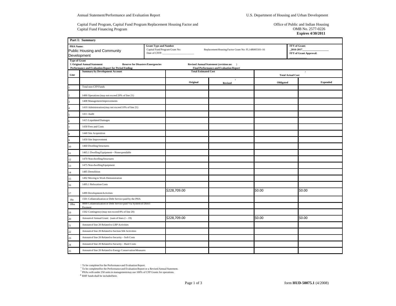Capital Fund Program, Capital Fund Program Replacement Housing Factor and Capital Fund Financing Program

Office of Public and Indian Housing OMB No. 2577-0226 **Expires 4/30/2011**

|                      | Part I: Summary                                                                     |                                                                                 |                                                     |                                                                                            |           |                          |                                                      |  |
|----------------------|-------------------------------------------------------------------------------------|---------------------------------------------------------------------------------|-----------------------------------------------------|--------------------------------------------------------------------------------------------|-----------|--------------------------|------------------------------------------------------|--|
| PHA Name:            | Public Housing and Community<br>Development                                         | <b>Grant Type and Number</b><br>Capital Fund Program Grant No:<br>Date of CFFP: | Replacement Housing Factor Grant No: FL14R005501-16 |                                                                                            |           |                          | FFY of Grant:<br>2016-2017<br>FFY of Grant Approval: |  |
| <b>Type of Grant</b> | X Original Annual Statement<br>Performance and Evaluation Report for Period Ending: | <b>Reserve for Disasters/Emergencies</b>                                        |                                                     | Revised Annual Statement (revision no: )<br><b>Final Performance and Evaluation Report</b> |           |                          |                                                      |  |
|                      | <b>Summary by Development Account</b>                                               |                                                                                 | <b>Total Estimated Cost</b>                         |                                                                                            |           |                          | $\,$ 1 $\,$                                          |  |
| Line                 |                                                                                     |                                                                                 |                                                     | $\,$ 2 $\,$                                                                                |           | <b>Total Actual Cost</b> |                                                      |  |
|                      | <b>Total non-CFP Funds</b>                                                          |                                                                                 | Original                                            | <b>Revised</b>                                                                             | Obligated |                          | <b>Expended</b>                                      |  |
|                      |                                                                                     |                                                                                 |                                                     |                                                                                            |           |                          |                                                      |  |
|                      | 1406 Operations (may not exceed 20% of line 21)                                     |                                                                                 |                                                     |                                                                                            |           |                          |                                                      |  |
|                      | 1408 Management Improvements                                                        |                                                                                 |                                                     |                                                                                            |           |                          |                                                      |  |
|                      | 1410 Administration (may not exceed 10% of line 21)                                 |                                                                                 |                                                     |                                                                                            |           |                          |                                                      |  |
|                      | 1411 Audit                                                                          |                                                                                 |                                                     |                                                                                            |           |                          |                                                      |  |
|                      | 1415 Liquidated Damages                                                             |                                                                                 |                                                     |                                                                                            |           |                          |                                                      |  |
|                      | 1430 Fees and Costs                                                                 |                                                                                 |                                                     |                                                                                            |           |                          |                                                      |  |
|                      | 1440 Site Acquisition                                                               |                                                                                 |                                                     |                                                                                            |           |                          |                                                      |  |
|                      | 1450 Site Improvement                                                               |                                                                                 |                                                     |                                                                                            |           |                          |                                                      |  |
| 10                   | 1460 Dwelling Structures                                                            |                                                                                 |                                                     |                                                                                            |           |                          |                                                      |  |
| 11                   | 1465.1 Dwelling Equipment-Nonexpendable                                             |                                                                                 |                                                     |                                                                                            |           |                          |                                                      |  |
| 12                   | 1470 Non-dwelling Structures                                                        |                                                                                 |                                                     |                                                                                            |           |                          |                                                      |  |
| 13                   | 1475 Non-dwelling Equipment                                                         |                                                                                 |                                                     |                                                                                            |           |                          |                                                      |  |
| 14                   | 1485 Demolition                                                                     |                                                                                 |                                                     |                                                                                            |           |                          |                                                      |  |
| 15                   | 1492 Moving to Work Demonstration                                                   |                                                                                 |                                                     |                                                                                            |           |                          |                                                      |  |
| 16                   | 1495.1 Relocation Costs                                                             |                                                                                 |                                                     |                                                                                            |           |                          |                                                      |  |
| 17                   | 1499 Development Activities                                                         |                                                                                 | \$228,709.00                                        |                                                                                            | \$0.00    |                          | \$0.00                                               |  |
| $18a$                | 1501 Collateralization or Debt Service paid by the PHA                              |                                                                                 |                                                     |                                                                                            |           |                          |                                                      |  |
| 18ba                 | 9000 Collateralization or Debt Service paid Via System of Direct<br>Payment         |                                                                                 |                                                     |                                                                                            |           |                          |                                                      |  |
| 19                   | 1502 Contingency (may not exceed 8% of line 20)                                     |                                                                                 |                                                     |                                                                                            |           |                          |                                                      |  |
| 20                   | Amount of Annual Grant: (sum of lines $2 - 19$ )                                    |                                                                                 | \$228,709.00                                        |                                                                                            | \$0.00    |                          | \$0.00                                               |  |
| 21                   | Amount of line 20 Related to LBP Activities                                         |                                                                                 |                                                     |                                                                                            |           |                          |                                                      |  |
| 22                   | Amount of line 20 Related to Section 504 Activities                                 |                                                                                 |                                                     |                                                                                            |           |                          |                                                      |  |
| 23                   | Amount of line 20 Related to Security - Soft Costs                                  |                                                                                 |                                                     |                                                                                            |           |                          |                                                      |  |
| 24                   | Amount of line 20 Related to Security - Hard Costs                                  |                                                                                 |                                                     |                                                                                            |           |                          |                                                      |  |
| 25                   | Amount of line 20 Related to Energy Conservation Measures                           |                                                                                 |                                                     |                                                                                            |           |                          |                                                      |  |

<sup>1</sup> To be completed for the Performance and Evaluation Report.<br><sup>2</sup> To be completed for the Performance and Evaluation Report or a Revised Annual Statement.

<sup>3</sup> PHAs with under 250 units in management may use 100% of CFP Grants for operations.

<sup>4</sup> RHF funds shall be included here.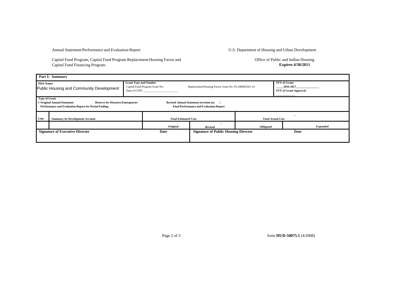Capital Fund Program, Capital Fund Program Replacement Housing Factor and Capital Fund Financing Program

Office of Public and Indian Housing **Expires 4/30/2011**

|                                                                                                                                                                                                                                                                   | Part I: Summary                          |                                                                                 |                             |                                                     |                          |                                                             |  |  |  |  |  |
|-------------------------------------------------------------------------------------------------------------------------------------------------------------------------------------------------------------------------------------------------------------------|------------------------------------------|---------------------------------------------------------------------------------|-----------------------------|-----------------------------------------------------|--------------------------|-------------------------------------------------------------|--|--|--|--|--|
| <b>PHA Name:</b>                                                                                                                                                                                                                                                  | Public Housing and Community Development | <b>Grant Type and Number</b><br>Capital Fund Program Grant No:<br>Date of CFFP: |                             | Replacement Housing Factor Grant No: FL14R005501-16 |                          | <b>FFY</b> of Grant:<br>2016-2017<br>FFY of Grant Approval: |  |  |  |  |  |
| <b>Type of Grant</b><br><b>Reserve for Disasters/Emergencies</b><br>X Original Annual Statement<br><b>Revised Annual Statement (revision no:</b><br><b>Performance and Evaluation Report for Period Ending:</b><br><b>Final Performance and Evaluation Report</b> |                                          |                                                                                 |                             |                                                     |                          |                                                             |  |  |  |  |  |
| Line                                                                                                                                                                                                                                                              | <b>Summary by Development Account</b>    |                                                                                 | <b>Total Estimated Cost</b> |                                                     | <b>Total Actual Cost</b> |                                                             |  |  |  |  |  |
|                                                                                                                                                                                                                                                                   |                                          |                                                                                 | Original                    | <b>Revised</b>                                      | Obligated                | <b>Expended</b>                                             |  |  |  |  |  |
|                                                                                                                                                                                                                                                                   | <b>Signature of Executive Director</b>   |                                                                                 | Date                        | <b>Signature of Public Housing Director</b>         |                          | Date                                                        |  |  |  |  |  |

Page 2 of 3 form **HUD-50075.1** (4/2008)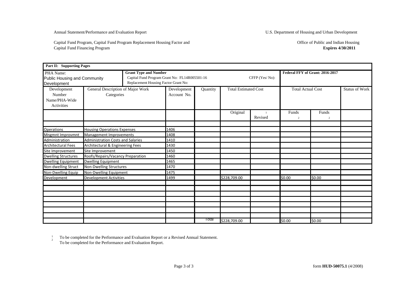Capital Fund Program, Capital Fund Program Replacement Housing Factor and Capital Fund Financing Program

| Part II: Supporting Pages                            |                                                 |  |                                                                                                                       |          |              |                             |                         |                                 |  |  |  |
|------------------------------------------------------|-------------------------------------------------|--|-----------------------------------------------------------------------------------------------------------------------|----------|--------------|-----------------------------|-------------------------|---------------------------------|--|--|--|
| PHA Name:<br>Development                             | Public Housing and Community                    |  | <b>Grant Type and Number</b><br>Capital Fund Program Grant No: FL14R005501-16<br>Replacement Housing Factor Grant No: |          |              | CFFP (Yes/No):              |                         | Federal FFY of Grant: 2016-2017 |  |  |  |
| Development<br>Number<br>Name/PHA-Wide<br>Activities | General Description of Major Work<br>Categories |  | Development<br>Account No.                                                                                            | Quantity |              | <b>Total Estimated Cost</b> |                         | <b>Total Actual Cost</b>        |  |  |  |
|                                                      |                                                 |  |                                                                                                                       |          | Original     | Revised                     | Funds<br>$\overline{c}$ | Funds<br>$\overline{2}$         |  |  |  |
| <b>Operations</b>                                    | <b>Housing Operations Expenses</b>              |  | 1406                                                                                                                  |          |              |                             |                         |                                 |  |  |  |
| Mngmnt Improvmnt                                     | Management Improvements                         |  | 1408                                                                                                                  |          |              |                             |                         |                                 |  |  |  |
| Administration                                       | <b>Administration Costs and Salaries</b>        |  | 1410                                                                                                                  |          |              |                             |                         |                                 |  |  |  |
| <b>Architectural Fees</b>                            | Architectural & Engineering Fees                |  | 1430                                                                                                                  |          |              |                             |                         |                                 |  |  |  |
| Site Improvement                                     | Site Improvement                                |  | 1450                                                                                                                  |          |              |                             |                         |                                 |  |  |  |
| <b>Dwelling Structures</b>                           | Roofs/Repairs/Vacancy Preparation               |  | 1460                                                                                                                  |          |              |                             |                         |                                 |  |  |  |
| <b>Dwelling Equipment</b>                            | <b>Dwelling Equipment</b>                       |  | 1465                                                                                                                  |          |              |                             |                         |                                 |  |  |  |
| Non-dwelling Struct                                  | Non-Dwelling Structures                         |  | 1470                                                                                                                  |          |              |                             |                         |                                 |  |  |  |
| Non-Dwelling Equip                                   | Non-Dwelling Equipment                          |  | 1475                                                                                                                  |          |              |                             |                         |                                 |  |  |  |
| Development                                          | <b>Development Activities</b>                   |  | 1499                                                                                                                  |          | \$228,709.00 |                             | \$0.00                  | \$0.00                          |  |  |  |
|                                                      |                                                 |  |                                                                                                                       |          |              |                             |                         |                                 |  |  |  |
|                                                      |                                                 |  |                                                                                                                       |          |              |                             |                         |                                 |  |  |  |
|                                                      |                                                 |  |                                                                                                                       |          |              |                             |                         |                                 |  |  |  |
|                                                      |                                                 |  |                                                                                                                       |          |              |                             |                         |                                 |  |  |  |
|                                                      |                                                 |  |                                                                                                                       |          |              |                             |                         |                                 |  |  |  |
|                                                      |                                                 |  |                                                                                                                       |          |              |                             |                         |                                 |  |  |  |
|                                                      |                                                 |  |                                                                                                                       |          |              |                             |                         |                                 |  |  |  |
|                                                      |                                                 |  |                                                                                                                       | Total    | \$228,709.00 |                             | \$0.00                  | \$0.00                          |  |  |  |

1<br>2 To be completed for the Performance and Evaluation Report or a Revised Annual Statement. To be completed for the Performance and Evaluation Report.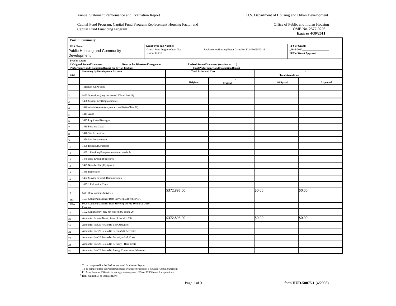Capital Fund Program, Capital Fund Program Replacement Housing Factor and Capital Fund Financing Program

Office of Public and Indian Housing OMB No. 2577-0226 **Expires 4/30/2011**

|                      | Part I: Summary                                                                     |                                                                                 |                                                     |                                                                                            |           |                          |                                                      |
|----------------------|-------------------------------------------------------------------------------------|---------------------------------------------------------------------------------|-----------------------------------------------------|--------------------------------------------------------------------------------------------|-----------|--------------------------|------------------------------------------------------|
| PHA Name:            | Public Housing and Community<br>Development                                         | <b>Grant Type and Number</b><br>Capital Fund Program Grant No:<br>Date of CFFP: | Replacement Housing Factor Grant No: FL14R005502-16 |                                                                                            |           |                          | FFY of Grant:<br>2016-2017<br>FFY of Grant Approval: |
| <b>Type of Grant</b> | X Original Annual Statement<br>Performance and Evaluation Report for Period Ending: | <b>Reserve for Disasters/Emergencies</b>                                        |                                                     | Revised Annual Statement (revision no: )<br><b>Final Performance and Evaluation Report</b> |           |                          |                                                      |
|                      | <b>Summary by Development Account</b>                                               |                                                                                 | <b>Total Estimated Cost</b>                         |                                                                                            |           |                          | $\,$ 1 $\,$                                          |
| Line                 |                                                                                     |                                                                                 |                                                     | $\,$ 2 $\,$                                                                                |           | <b>Total Actual Cost</b> |                                                      |
|                      | <b>Total non-CFP Funds</b>                                                          |                                                                                 | Original                                            | <b>Revised</b>                                                                             | Obligated |                          | <b>Expended</b>                                      |
|                      |                                                                                     |                                                                                 |                                                     |                                                                                            |           |                          |                                                      |
|                      | 1406 Operations (may not exceed 20% of line 21)                                     |                                                                                 |                                                     |                                                                                            |           |                          |                                                      |
|                      | 1408 Management Improvements                                                        |                                                                                 |                                                     |                                                                                            |           |                          |                                                      |
|                      | 1410 Administration (may not exceed 10% of line 21)                                 |                                                                                 |                                                     |                                                                                            |           |                          |                                                      |
|                      | 1411 Audit                                                                          |                                                                                 |                                                     |                                                                                            |           |                          |                                                      |
|                      | 1415 Liquidated Damages                                                             |                                                                                 |                                                     |                                                                                            |           |                          |                                                      |
|                      | 1430 Fees and Costs                                                                 |                                                                                 |                                                     |                                                                                            |           |                          |                                                      |
|                      | 1440 Site Acquisition                                                               |                                                                                 |                                                     |                                                                                            |           |                          |                                                      |
|                      | 1450 Site Improvement                                                               |                                                                                 |                                                     |                                                                                            |           |                          |                                                      |
| 10                   | 1460 Dwelling Structures                                                            |                                                                                 |                                                     |                                                                                            |           |                          |                                                      |
| 11                   | 1465.1 Dwelling Equipment-Nonexpendable                                             |                                                                                 |                                                     |                                                                                            |           |                          |                                                      |
| 12                   | 1470 Non-dwelling Structures                                                        |                                                                                 |                                                     |                                                                                            |           |                          |                                                      |
| 13                   | 1475 Non-dwelling Equipment                                                         |                                                                                 |                                                     |                                                                                            |           |                          |                                                      |
| 14                   | 1485 Demolition                                                                     |                                                                                 |                                                     |                                                                                            |           |                          |                                                      |
| 15                   | 1492 Moving to Work Demonstration                                                   |                                                                                 |                                                     |                                                                                            |           |                          |                                                      |
| 16                   | 1495.1 Relocation Costs                                                             |                                                                                 |                                                     |                                                                                            |           |                          |                                                      |
| 17                   | 1499 Development Activities                                                         |                                                                                 | \$372,896.00                                        |                                                                                            | \$0.00    |                          | \$0.00                                               |
| $18a$                | 1501 Collateralization or Debt Service paid by the PHA                              |                                                                                 |                                                     |                                                                                            |           |                          |                                                      |
| 18ba                 | 9000 Collateralization or Debt Service paid Via System of Direct<br>Payment         |                                                                                 |                                                     |                                                                                            |           |                          |                                                      |
| 19                   | 1502 Contingency (may not exceed 8% of line 20)                                     |                                                                                 |                                                     |                                                                                            |           |                          |                                                      |
| 20                   | Amount of Annual Grant: (sum of lines $2 - 19$ )                                    |                                                                                 | \$372,896.00                                        |                                                                                            | \$0.00    |                          | \$0.00                                               |
| 21                   | Amount of line 20 Related to LBP Activities                                         |                                                                                 |                                                     |                                                                                            |           |                          |                                                      |
| 22                   | Amount of line 20 Related to Section 504 Activities                                 |                                                                                 |                                                     |                                                                                            |           |                          |                                                      |
| 23                   | Amount of line 20 Related to Security - Soft Costs                                  |                                                                                 |                                                     |                                                                                            |           |                          |                                                      |
| 24                   | Amount of line 20 Related to Security - Hard Costs                                  |                                                                                 |                                                     |                                                                                            |           |                          |                                                      |
| 25                   | Amount of line 20 Related to Energy Conservation Measures                           |                                                                                 |                                                     |                                                                                            |           |                          |                                                      |

<sup>1</sup> To be completed for the Performance and Evaluation Report.<br><sup>2</sup> To be completed for the Performance and Evaluation Report or a Revised Annual Statement.

<sup>3</sup> PHAs with under 250 units in management may use 100% of CFP Grants for operations.

<sup>4</sup> RHF funds shall be included here.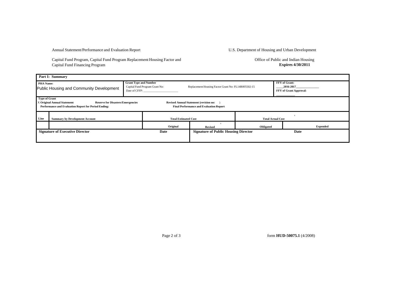Capital Fund Program, Capital Fund Program Replacement Housing Factor and Capital Fund Financing Program

Office of Public and Indian Housing **Expires 4/30/2011**

| Part I: Summary                                                                                                                                                                                                                                                   |                                          |                                                                                 |          |                                                     |                                                     |                                                             |  |  |  |  |  |
|-------------------------------------------------------------------------------------------------------------------------------------------------------------------------------------------------------------------------------------------------------------------|------------------------------------------|---------------------------------------------------------------------------------|----------|-----------------------------------------------------|-----------------------------------------------------|-------------------------------------------------------------|--|--|--|--|--|
| <b>PHA Name:</b>                                                                                                                                                                                                                                                  | Public Housing and Community Development | <b>Grant Type and Number</b><br>Capital Fund Program Grant No:<br>Date of CFFP: |          | Replacement Housing Factor Grant No: FL14R005502-15 |                                                     | <b>FFY</b> of Grant:<br>2016-2017<br>FFY of Grant Approval: |  |  |  |  |  |
| <b>Type of Grant</b><br><b>Reserve for Disasters/Emergencies</b><br>X Original Annual Statement<br><b>Revised Annual Statement (revision no:</b><br><b>Performance and Evaluation Report for Period Ending:</b><br><b>Final Performance and Evaluation Report</b> |                                          |                                                                                 |          |                                                     |                                                     |                                                             |  |  |  |  |  |
| Line                                                                                                                                                                                                                                                              | <b>Summary by Development Account</b>    | <b>Total Estimated Cost</b>                                                     |          | <b>Total Actual Cost</b>                            |                                                     |                                                             |  |  |  |  |  |
|                                                                                                                                                                                                                                                                   |                                          |                                                                                 | Original | <b>Revised</b>                                      | Obligated                                           | <b>Expended</b>                                             |  |  |  |  |  |
|                                                                                                                                                                                                                                                                   | <b>Signature of Executive Director</b>   |                                                                                 | Date     |                                                     | <b>Signature of Public Housing Director</b><br>Date |                                                             |  |  |  |  |  |

Page 2 of 3 form **HUD-50075.1** (4/2008)